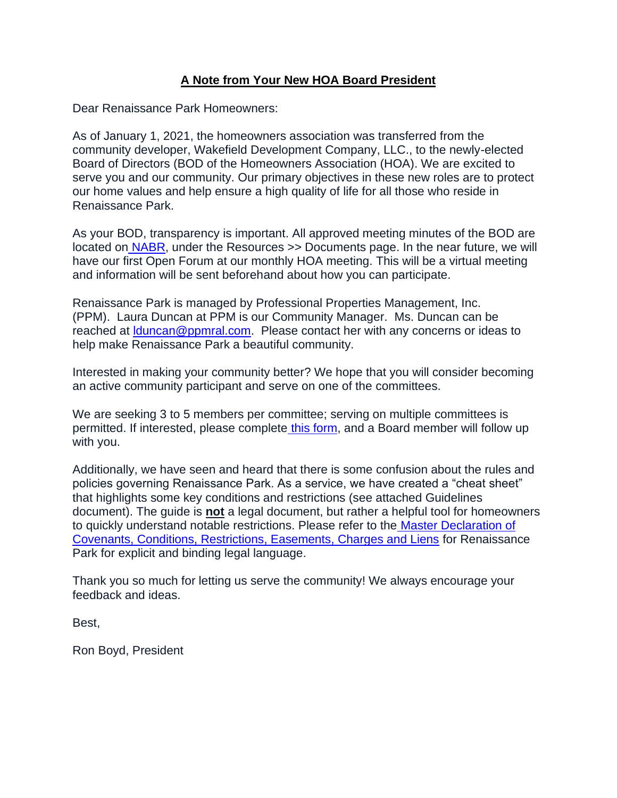# **A Note from Your New HOA Board President**

Dear Renaissance Park Homeowners:

As of January 1, 2021, the homeowners association was transferred from the community developer, Wakefield Development Company, LLC., to the newly-elected Board of Directors (BOD of the Homeowners Association (HOA). We are excited to serve you and our community. Our primary objectives in these new roles are to protect our home values and help ensure a high quality of life for all those who reside in Renaissance Park.

As your BOD, transparency is important. All approved meeting minutes of the BOD are located on [NABR,](https://nabrnetwork.com/connect_login.php) under the Resources >> Documents page. In the near future, we will have our first Open Forum at our monthly HOA meeting. This will be a virtual meeting and information will be sent beforehand about how you can participate.

Renaissance Park is managed by Professional Properties Management, Inc. (PPM). Laura Duncan at PPM is our Community Manager. Ms. Duncan can be reached at **Iduncan@ppmral.com.** Please contact her with any concerns or ideas to help make Renaissance Park a beautiful community.

Interested in making your community better? We hope that you will consider becoming an active community participant and serve on one of the committees.

We are seeking 3 to 5 members per committee; serving on multiple committees is permitted. If interested, please complet[e](https://forms.gle/m3ZsRedEziXdMoHr6) [this form,](https://forms.gle/m3ZsRedEziXdMoHr6) and a Board member will follow up with you.

Additionally, we have seen and heard that there is some confusion about the rules and policies governing Renaissance Park. As a service, we have created a "cheat sheet" that highlights some key conditions and restrictions (see attached Guidelines document). The guide is **not** a legal document, but rather a helpful tool for homeowners to quickly understand notable restrictions. Please refer to the [Master Declaration of](https://renaissanceparkmaster.nabrnetwork.com/public/849/r-park-covs.pdf)  [Covenants, Conditions, Restrictions, Easements, Charges and Liens](https://renaissanceparkmaster.nabrnetwork.com/public/849/r-park-covs.pdf) for Renaissance Park for explicit and binding legal language.

Thank you so much for letting us serve the community! We always encourage your feedback and ideas.

Best,

Ron Boyd, President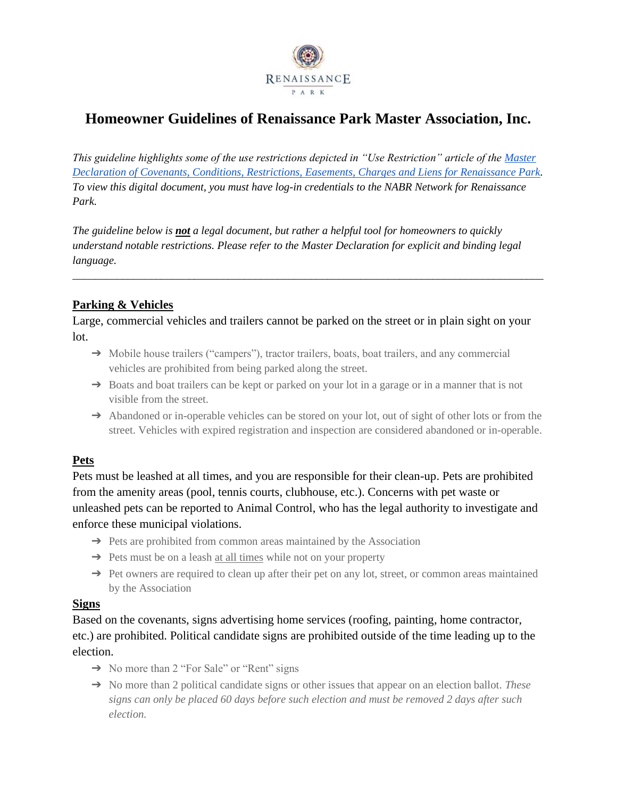

# **Homeowner Guidelines of Renaissance Park Master Association, Inc.**

*This guideline highlights some of the use restrictions depicted in "Use Restriction" article of the [Master](https://renaissanceparkmaster.nabrnetwork.com/public/849/r-park-covs.pdf)  [Declaration of Covenants, Conditions, Restrictions, Easements, Charges and Liens for Renaissance Park.](https://renaissanceparkmaster.nabrnetwork.com/public/849/r-park-covs.pdf) To view this digital document, you must have log-in credentials to the NABR Network for Renaissance Park.* 

*The guideline below is not a legal document, but rather a helpful tool for homeowners to quickly understand notable restrictions. Please refer to the Master Declaration for explicit and binding legal language.* 

*\_\_\_\_\_\_\_\_\_\_\_\_\_\_\_\_\_\_\_\_\_\_\_\_\_\_\_\_\_\_\_\_\_\_\_\_\_\_\_\_\_\_\_\_\_\_\_\_\_\_\_\_\_\_\_\_\_\_\_\_\_\_\_\_\_\_\_\_\_\_\_\_\_\_\_\_\_\_\_\_\_\_\_\_\_*

## **Parking & Vehicles**

Large, commercial vehicles and trailers cannot be parked on the street or in plain sight on your lot.

- → Mobile house trailers ("campers"), tractor trailers, boats, boat trailers, and any commercial vehicles are prohibited from being parked along the street.
- → Boats and boat trailers can be kept or parked on your lot in a garage or in a manner that is not visible from the street.
- → Abandoned or in-operable vehicles can be stored on your lot, out of sight of other lots or from the street. Vehicles with expired registration and inspection are considered abandoned or in-operable.

## **Pets**

Pets must be leashed at all times, and you are responsible for their clean-up. Pets are prohibited from the amenity areas (pool, tennis courts, clubhouse, etc.). Concerns with pet waste or unleashed pets can be reported to Animal Control, who has the legal authority to investigate and enforce these municipal violations.

- → Pets are prohibited from common areas maintained by the Association
- ➔ Pets must be on a leash at all times while not on your property
- → Pet owners are required to clean up after their pet on any lot, street, or common areas maintained by the Association

## **Signs**

Based on the covenants, signs advertising home services (roofing, painting, home contractor, etc.) are prohibited. Political candidate signs are prohibited outside of the time leading up to the election.

- → No more than 2 "For Sale" or "Rent" signs
- ➔ No more than 2 political candidate signs or other issues that appear on an election ballot. *These signs can only be placed 60 days before such election and must be removed 2 days after such election.*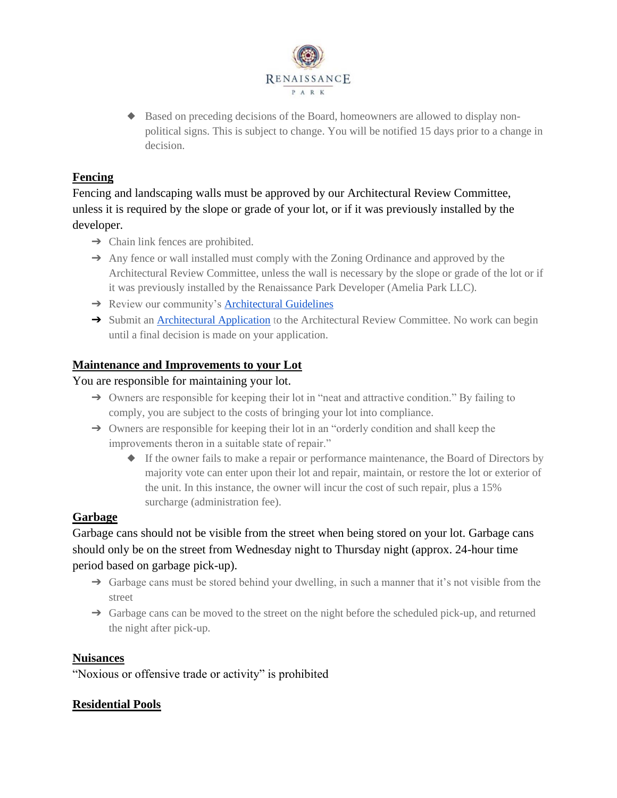

◆ Based on preceding decisions of the Board, homeowners are allowed to display nonpolitical signs. This is subject to change. You will be notified 15 days prior to a change in decision.

# **Fencing**

Fencing and landscaping walls must be approved by our Architectural Review Committee, unless it is required by the slope or grade of your lot, or if it was previously installed by the developer.

- $\rightarrow$  Chain link fences are prohibited.
- ➔ Any fence or wall installed must comply with the Zoning Ordinance and approved by the Architectural Review Committee, unless the wall is necessary by the slope or grade of the lot or if it was previously installed by the Renaissance Park Developer (Amelia Park LLC).
- **→** Review our community's [Architectural Guidelines](https://renaissanceparkmaster.nabrnetwork.com/files/849/dyn2268/Ren.-Park-ARC-Guidelines.pdf)
- → Submit a[n Architectural Application](https://renaissanceparkmaster.nabrnetwork.com/files/849/dyn2268/Renaissance%20Park%20Master%20Arch%20FORM.pdf) to the Architectural Review Committee. No work can begin until a final decision is made on your application.

#### **Maintenance and Improvements to your Lot**

#### You are responsible for maintaining your lot.

- → Owners are responsible for keeping their lot in "neat and attractive condition." By failing to comply, you are subject to the costs of bringing your lot into compliance.
- $\rightarrow$  Owners are responsible for keeping their lot in an "orderly condition and shall keep the improvements theron in a suitable state of repair."
	- ◆ If the owner fails to make a repair or performance maintenance, the Board of Directors by majority vote can enter upon their lot and repair, maintain, or restore the lot or exterior of the unit. In this instance, the owner will incur the cost of such repair, plus a 15% surcharge (administration fee).

## **Garbage**

Garbage cans should not be visible from the street when being stored on your lot. Garbage cans should only be on the street from Wednesday night to Thursday night (approx. 24-hour time period based on garbage pick-up).

- → Garbage cans must be stored behind your dwelling, in such a manner that it's not visible from the street
- → Garbage cans can be moved to the street on the night before the scheduled pick-up, and returned the night after pick-up.

#### **Nuisances**

"Noxious or offensive trade or activity" is prohibited

## **Residential Pools**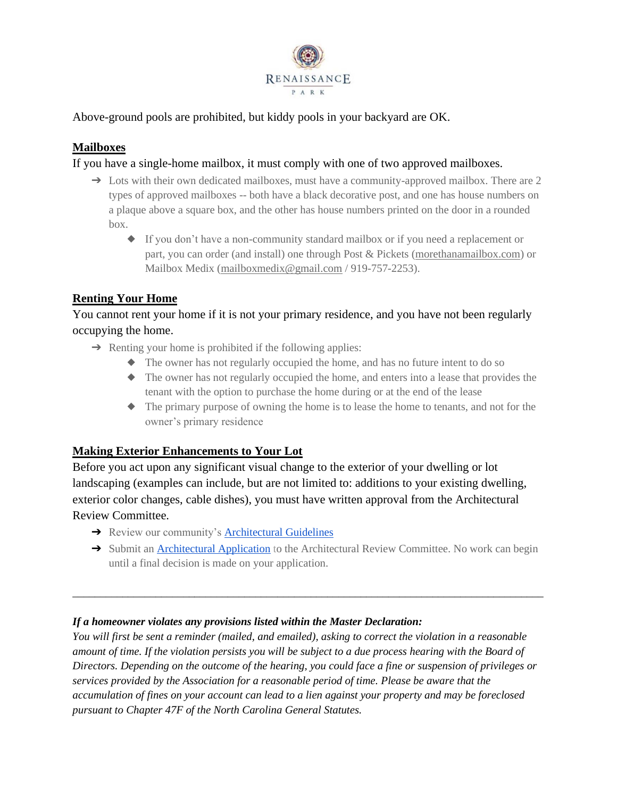

## Above-ground pools are prohibited, but kiddy pools in your backyard are OK.

# **Mailboxes**

### If you have a single-home mailbox, it must comply with one of two approved mailboxes.

- $\rightarrow$  Lots with their own dedicated mailboxes, must have a community-approved mailbox. There are 2 types of approved mailboxes -- both have a black decorative post, and one has house numbers on a plaque above a square box, and the other has house numbers printed on the door in a rounded box.
	- ◆ If you don't have a non-community standard mailbox or if you need a replacement or part, you can order (and install) one through Post & Pickets [\(morethanamailbox.com\)](http://morethanamailbox.com/) or Mailbox Medix [\(mailboxmedix@gmail.com](mailto:mailboxmedix@gmail.com) / 919-757-2253).

# **Renting Your Home**

You cannot rent your home if it is not your primary residence, and you have not been regularly occupying the home.

- $\rightarrow$  Renting your home is prohibited if the following applies:
	- ◆ The owner has not regularly occupied the home, and has no future intent to do so
	- ◆ The owner has not regularly occupied the home, and enters into a lease that provides the tenant with the option to purchase the home during or at the end of the lease
	- ◆ The primary purpose of owning the home is to lease the home to tenants, and not for the owner's primary residence

## **Making Exterior Enhancements to Your Lot**

Before you act upon any significant visual change to the exterior of your dwelling or lot landscaping (examples can include, but are not limited to: additions to your existing dwelling, exterior color changes, cable dishes), you must have written approval from the Architectural Review Committee.

- **→** Review our community's **[Architectural Guidelines](https://renaissanceparkmaster.nabrnetwork.com/files/849/dyn2268/Ren.-Park-ARC-Guidelines.pdf)**
- → Submit a[n Architectural Application](https://renaissanceparkmaster.nabrnetwork.com/files/849/dyn2268/Renaissance%20Park%20Master%20Arch%20FORM.pdf) to the Architectural Review Committee. No work can begin until a final decision is made on your application.

\_\_\_\_\_\_\_\_\_\_\_\_\_\_\_\_\_\_\_\_\_\_\_\_\_\_\_\_\_\_\_\_\_\_\_\_\_\_\_\_\_\_\_\_\_\_\_\_\_\_\_\_\_\_\_\_\_\_\_\_\_\_\_\_\_\_\_\_\_\_\_\_\_\_\_\_\_\_\_\_\_\_\_\_\_

#### *If a homeowner violates any provisions listed within the Master Declaration:*

*You will first be sent a reminder (mailed, and emailed), asking to correct the violation in a reasonable amount of time. If the violation persists you will be subject to a due process hearing with the Board of Directors. Depending on the outcome of the hearing, you could face a fine or suspension of privileges or services provided by the Association for a reasonable period of time. Please be aware that the accumulation of fines on your account can lead to a lien against your property and may be foreclosed pursuant to Chapter 47F of the North Carolina General Statutes.*